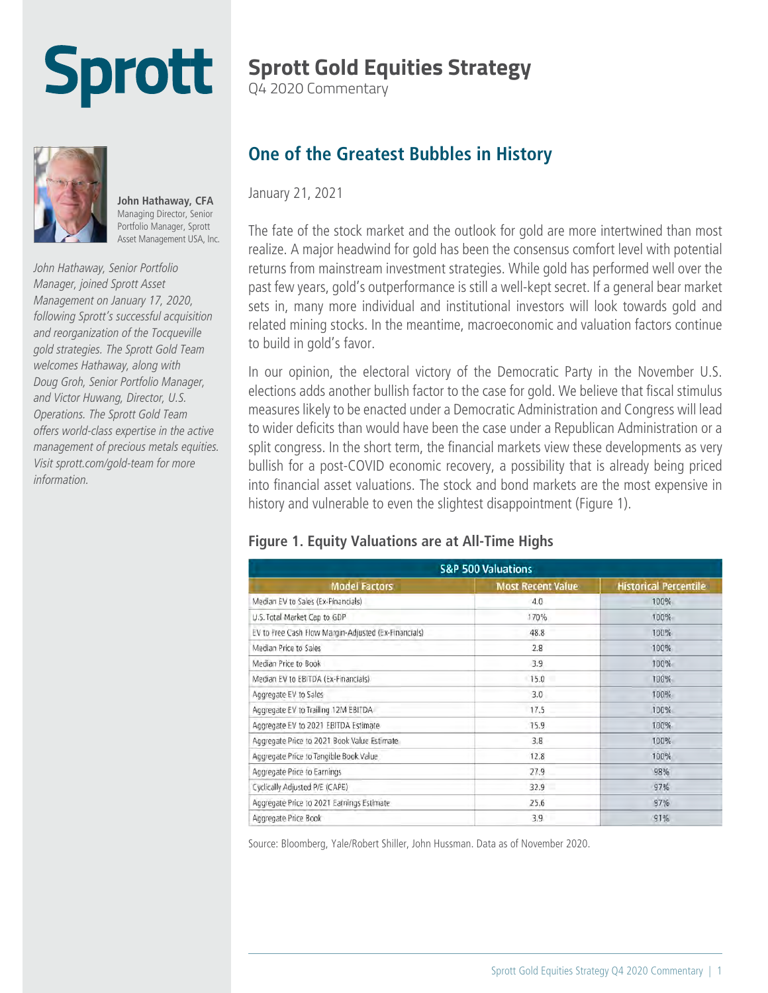# **Sprott**

# **Sprott Gold Equities Strategy**

Q4 2020 Commentary



**John Hathaway, CFA**  Managing Director, Senior Portfolio Manager, Sprott Asset Management USA, Inc.

*John Hathaway, Senior Portfolio Manager, joined Sprott Asset Management on January 17, 2020, following Sprott's successful acquisition and reorganization of the Tocqueville gold strategies. The Sprott Gold Team welcomes Hathaway, along with Doug Groh, Senior Portfolio Manager, and Victor Huwang, Director, U.S. Operations. The Sprott Gold Team offers world-class expertise in the active management of precious metals equities. Visit sprott.com/gold-team for more information.*

### **One of the Greatest Bubbles in History**

January 21, 2021

The fate of the stock market and the outlook for gold are more intertwined than most realize. A major headwind for gold has been the consensus comfort level with potential returns from mainstream investment strategies. While gold has performed well over the past few years, gold's outperformance is still a well-kept secret. If a general bear market sets in, many more individual and institutional investors will look towards gold and related mining stocks. In the meantime, macroeconomic and valuation factors continue to build in gold's favor.

In our opinion, the electoral victory of the Democratic Party in the November U.S. elections adds another bullish factor to the case for gold. We believe that fiscal stimulus measures likely to be enacted under a Democratic Administration and Congress will lead to wider deficits than would have been the case under a Republican Administration or a split congress. In the short term, the financial markets view these developments as very bullish for a post-COVID economic recovery, a possibility that is already being priced into financial asset valuations. The stock and bond markets are the most expensive in history and vulnerable to even the slightest disappointment (Figure 1).

#### **Figure 1. Equity Valuations are at All-Time Highs**

| <b>S&amp;P 500 Valuations</b>                        |                                  |                              |
|------------------------------------------------------|----------------------------------|------------------------------|
| Model Factors                                        | <b>Most Recent Value</b>         | <b>Historical Percentile</b> |
| Median EV to Sales (Ex-Financials)                   | 4.0                              | 100%                         |
| U.S. Total Market Cap to GDP                         | 170%                             | 100%                         |
| EV to Free Cash Flow Margin-Adjusted (Ex-Financials) | 48.8                             | 100%                         |
| Median Price to Sales                                | 2.8                              | 100%                         |
| Median Price to Book                                 | 3.9                              | 100%                         |
| Median EV to EBITDA (Ex-Financials).                 | 15.0<br>$\overline{\phantom{a}}$ | 100%                         |
| Aggregate EV to Sales                                | 3.0                              | 100%                         |
| Aggregate EV to Trailing 12M EBITDA                  | 17.5                             | 100%                         |
| Aggregate EV to 2021 EBITDA Estimate                 | 15.9                             | 100%                         |
| Aggregate Price to 2021 Book Value Estimate          | 3.8                              | 100%                         |
| Aggregate Price to Tangible Book Value               | 12.8                             | 100%                         |
| Aggregate Price to Earnings                          | 27.9                             | 98%                          |
| Cyclically Adjusted P/E (CAPE)                       | 32.9                             | 97%                          |
| Aggregate Price to 2021 Earnings Estimate            | 25.6                             | 97%                          |
| Aggregate Price Book                                 | 3.9                              | 91%                          |

Source: Bloomberg, Yale/Robert Shiller, John Hussman. Data as of November 2020.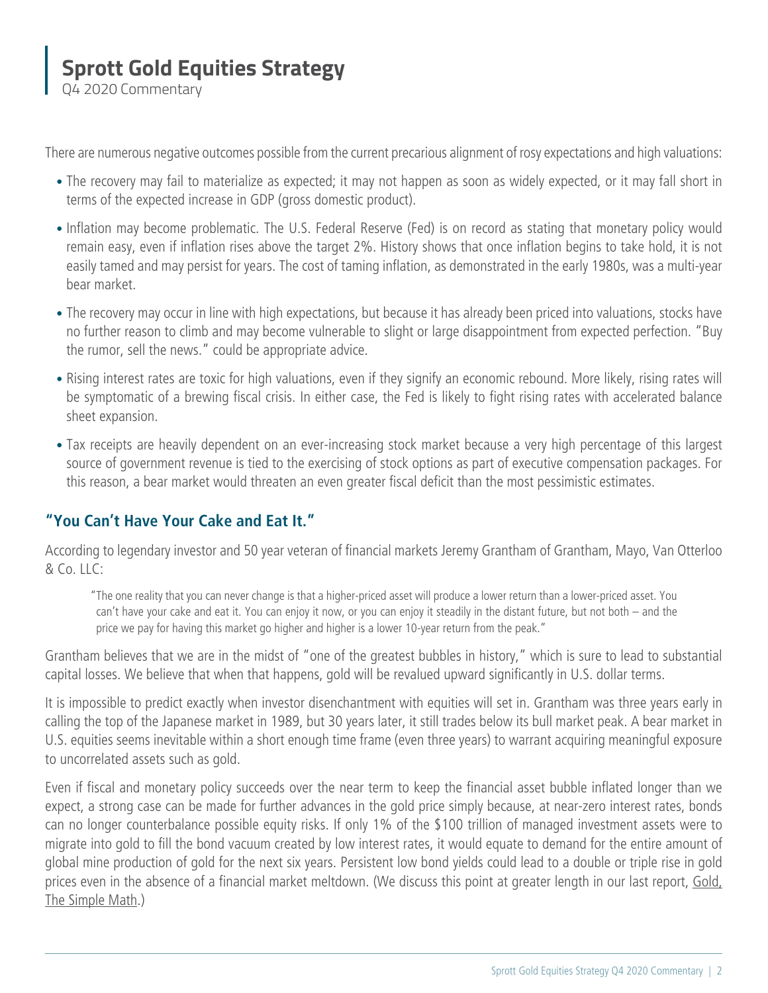Q4 2020 Commentary

There are numerous negative outcomes possible from the current precarious alignment of rosy expectations and high valuations:

- The recovery may fail to materialize as expected; it may not happen as soon as widely expected, or it may fall short in terms of the expected increase in GDP (gross domestic product).
- Inflation may become problematic. The U.S. Federal Reserve (Fed) is on record as stating that monetary policy would remain easy, even if inflation rises above the target 2%. History shows that once inflation begins to take hold, it is not easily tamed and may persist for years. The cost of taming inflation, as demonstrated in the early 1980s, was a multi-year bear market.
- The recovery may occur in line with high expectations, but because it has already been priced into valuations, stocks have no further reason to climb and may become vulnerable to slight or large disappointment from expected perfection. "Buy the rumor, sell the news." could be appropriate advice.
- Rising interest rates are toxic for high valuations, even if they signify an economic rebound. More likely, rising rates will be symptomatic of a brewing fiscal crisis. In either case, the Fed is likely to fight rising rates with accelerated balance sheet expansion.
- Tax receipts are heavily dependent on an ever-increasing stock market because a very high percentage of this largest source of government revenue is tied to the exercising of stock options as part of executive compensation packages. For this reason, a bear market would threaten an even greater fiscal deficit than the most pessimistic estimates.

#### **"You Can't Have Your Cake and Eat It."**

According to legendary investor and 50 year veteran of financial markets Jeremy Grantham of Grantham, Mayo, Van Otterloo & Co. LLC:

"The one reality that you can never change is that a higher-priced asset will produce a lower return than a lower-priced asset. You can't have your cake and eat it. You can enjoy it now, or you can enjoy it steadily in the distant future, but not both – and the price we pay for having this market go higher and higher is a lower 10-year return from the peak."

Grantham believes that we are in the midst of "one of the greatest bubbles in history," which is sure to lead to substantial capital losses. We believe that when that happens, gold will be revalued upward significantly in U.S. dollar terms.

It is impossible to predict exactly when investor disenchantment with equities will set in. Grantham was three years early in calling the top of the Japanese market in 1989, but 30 years later, it still trades below its bull market peak. A bear market in U.S. equities seems inevitable within a short enough time frame (even three years) to warrant acquiring meaningful exposure to uncorrelated assets such as gold.

Even if fiscal and monetary policy succeeds over the near term to keep the financial asset bubble inflated longer than we expect, a strong case can be made for further advances in the gold price simply because, at near-zero interest rates, bonds can no longer counterbalance possible equity risks. If only 1% of the \$100 trillion of managed investment assets were to migrate into gold to fill the bond vacuum created by low interest rates, it would equate to demand for the entire amount of global mine production of gold for the next six years. Persistent low bond yields could lead to a double or triple rise in gold prices even in the absence of a financial market meltdown. (We discuss this point at greater length in our last report, Gold, The Simple Math.)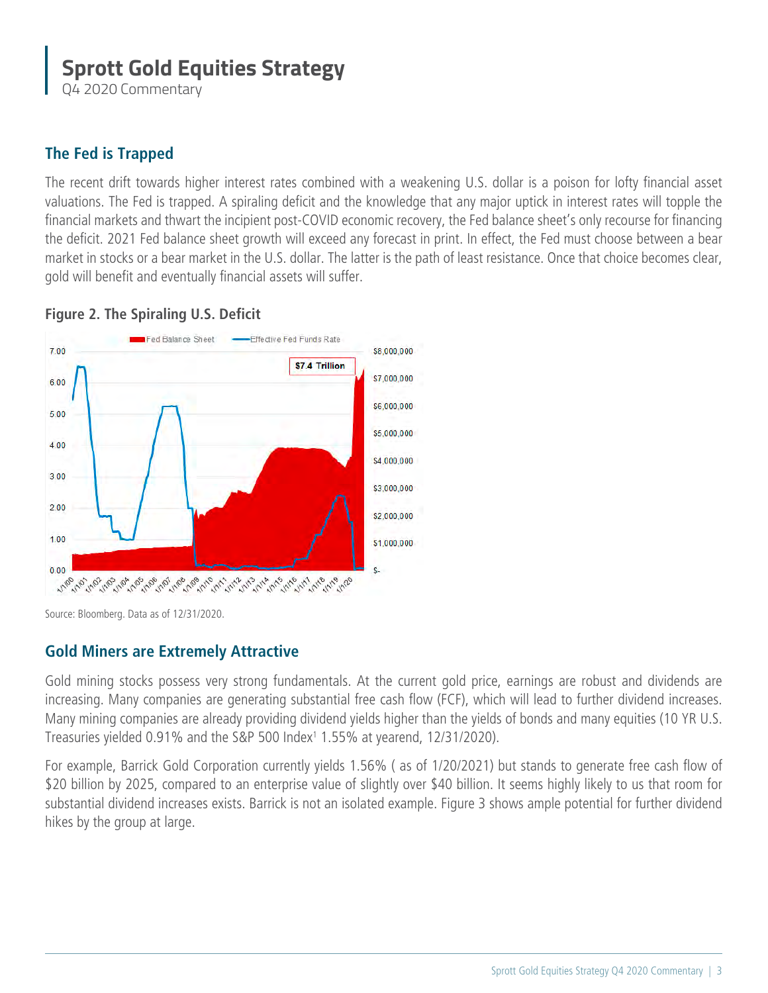Q4 2020 Commentary

#### **The Fed is Trapped**

The recent drift towards higher interest rates combined with a weakening U.S. dollar is a poison for lofty financial asset valuations. The Fed is trapped. A spiraling deficit and the knowledge that any major uptick in interest rates will topple the financial markets and thwart the incipient post-COVID economic recovery, the Fed balance sheet's only recourse for financing the deficit. 2021 Fed balance sheet growth will exceed any forecast in print. In effect, the Fed must choose between a bear market in stocks or a bear market in the U.S. dollar. The latter is the path of least resistance. Once that choice becomes clear, gold will benefit and eventually financial assets will suffer.

#### **Figure 2. The Spiraling U.S. Deficit**



Source: Bloomberg. Data as of 12/31/2020.

#### **Gold Miners are Extremely Attractive**

Gold mining stocks possess very strong fundamentals. At the current gold price, earnings are robust and dividends are increasing. Many companies are generating substantial free cash flow (FCF), which will lead to further dividend increases. Many mining companies are already providing dividend yields higher than the yields of bonds and many equities (10 YR U.S. Treasuries yielded 0.91% and the S&P 500 Index<sup>1</sup> 1.55% at yearend, 12/31/2020).

For example, Barrick Gold Corporation currently yields 1.56% ( as of 1/20/2021) but stands to generate free cash flow of \$20 billion by 2025, compared to an enterprise value of slightly over \$40 billion. It seems highly likely to us that room for substantial dividend increases exists. Barrick is not an isolated example. Figure 3 shows ample potential for further dividend hikes by the group at large.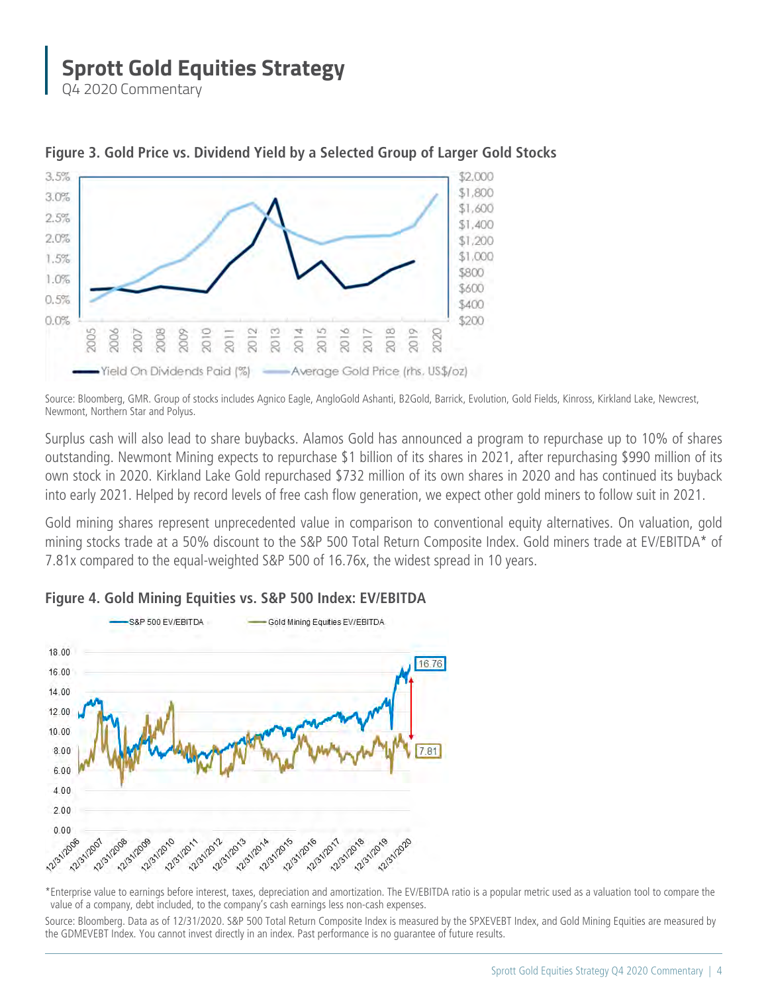Q4 2020 Commentary



#### **Figure 3. Gold Price vs. Dividend Yield by a Selected Group of Larger Gold Stocks**

Source: Bloomberg, GMR. Group of stocks includes Agnico Eagle, AngloGold Ashanti, B2Gold, Barrick, Evolution, Gold Fields, Kinross, Kirkland Lake, Newcrest, Newmont, Northern Star and Polyus.

Surplus cash will also lead to share buybacks. Alamos Gold has announced a program to repurchase up to 10% of shares outstanding. Newmont Mining expects to repurchase \$1 billion of its shares in 2021, after repurchasing \$990 million of its own stock in 2020. Kirkland Lake Gold repurchased \$732 million of its own shares in 2020 and has continued its buyback into early 2021. Helped by record levels of free cash flow generation, we expect other gold miners to follow suit in 2021.

Gold mining shares represent unprecedented value in comparison to conventional equity alternatives. On valuation, gold mining stocks trade at a 50% discount to the S&P 500 Total Return Composite Index. Gold miners trade at EV/EBITDA\* of 7.81x compared to the equal-weighted S&P 500 of 16.76x, the widest spread in 10 years.



#### **Figure 4. Gold Mining Equities vs. S&P 500 Index: EV/EBITDA**

\*Enterprise value to earnings before interest, taxes, depreciation and amortization. The EV/EBITDA ratio is a popular metric used as a valuation tool to compare the value of a company, debt included, to the company's cash earnings less non-cash expenses.

Source: Bloomberg. Data as of 12/31/2020. S&P 500 Total Return Composite Index is measured by the SPXEVEBT Index, and Gold Mining Equities are measured by the GDMEVEBT Index. You cannot invest directly in an index. Past performance is no guarantee of future results.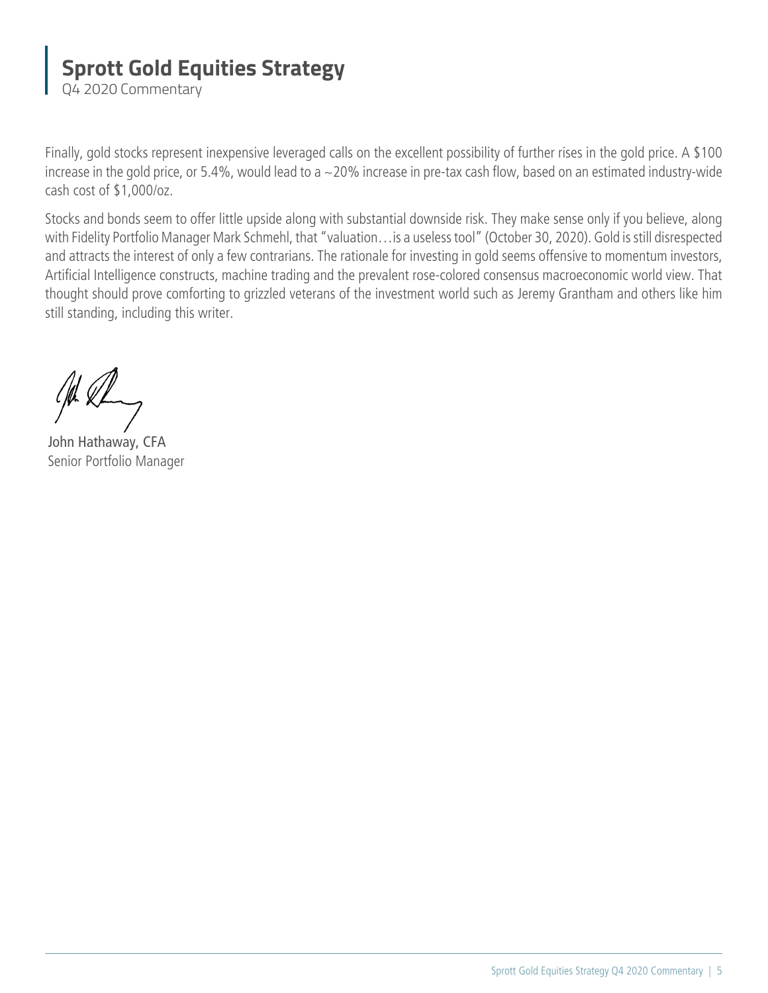Q4 2020 Commentary

Finally, gold stocks represent inexpensive leveraged calls on the excellent possibility of further rises in the gold price. A \$100 increase in the gold price, or 5.4%, would lead to a ~20% increase in pre-tax cash flow, based on an estimated industry-wide cash cost of \$1,000/oz.

Stocks and bonds seem to offer little upside along with substantial downside risk. They make sense only if you believe, along with Fidelity Portfolio Manager Mark Schmehl, that "valuation…is a useless tool" (October 30, 2020). Gold is still disrespected and attracts the interest of only a few contrarians. The rationale for investing in gold seems offensive to momentum investors, Artificial Intelligence constructs, machine trading and the prevalent rose-colored consensus macroeconomic world view. That thought should prove comforting to grizzled veterans of the investment world such as Jeremy Grantham and others like him still standing, including this writer.

Ch &

John Hathaway, CFA Senior Portfolio Manager